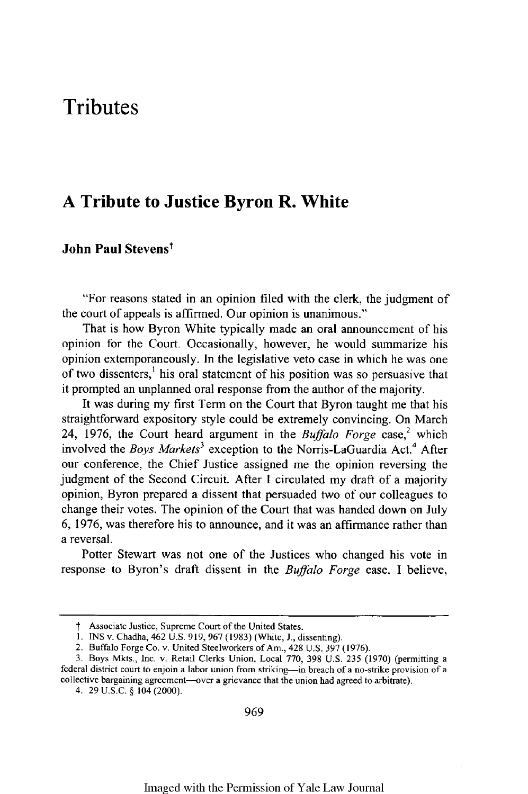# **Tributes**

## **A Tribute to Justice Byron R. White**

### **John Paul Stevenst**

"For reasons stated in an opinion filed with the clerk, the judgment of the court of appeals is affirmed. Our opinion is unanimous."

That is how Byron White typically made an oral announcement of his opinion for the Court. Occasionally, however, he would summarize his opinion extemporaneously. In the legislative veto case in which he was one of two dissenters,<sup>1</sup> his oral statement of his position was so persuasive that it prompted an unplanned oral response from the author of the majority.

It was during my first Term on the Court that Byron taught me that his straightforward expository style could be extremely convincing. On March 24, 1976, the Court heard argument in the *Buffalo Forge* case,<sup>2</sup> which involved the *Boys Markets3* exception to the Norris-LaGuardia Act.4 After our conference, the Chief Justice assigned me the opinion reversing the judgment of the Second Circuit. After I circulated my draft of a majority opinion, Byron prepared a dissent that persuaded two of our colleagues to change their votes. The opinion of the Court that was handed down on July 6, 1976, was therefore his to announce, and it was an affirmance rather than a reversal.

Potter Stewart was not one of the Justices who changed his vote in response to Byron's draft dissent in the *Buffalo Forge* case. I believe,

**t** Associate Justice, Supreme Court of the United States.

**<sup>1.</sup>** INS v. Chadha, 462 U.S. 919, 967 (1983) (White, J., dissenting).

<sup>2.</sup> Buffalo Forge Co. v. United Steelworkers of Am., 428 U.S. 397 (1976).

<sup>3.</sup> Boys Mkts., Inc. v. Retail Clerks Union, Local 770, 398 U.S. 235 (1970) (permitting a federal district court to enjoin a labor union from striking—in breach of a no-strike provision of a collective bargaining agreement—

<sup>4.</sup> 29 U.S.C. **§** 104 (2000).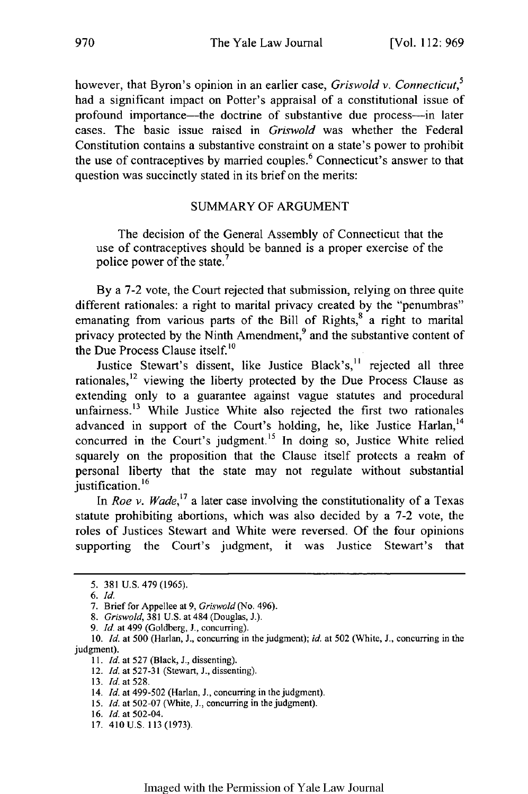however, that Byron's opinion in an earlier case, *Griswold v. Connecticut,5* had a significant impact on Potter's appraisal of a constitutional issue of profound importance—the doctrine of substantive due process—in later cases. The basic issue raised in *Griswold* was whether the Federal Constitution contains a substantive constraint on a state's power to prohibit the use of contraceptives by married couples.<sup>6</sup> Connecticut's answer to that question was succinctly stated in its brief on the merits:

#### SUMMARY OF ARGUMENT

The decision of the General Assembly of Connecticut that the use of contraceptives should be banned is a proper exercise of the police power of the state.<sup>7</sup>

By a 7-2 vote, the Court rejected that submission, relying on three quite different rationales: a right to marital privacy created by the "penumbras" emanating from various parts of the Bill of Rights,<sup>8</sup> a right to marital privacy protected by the Ninth Amendment,<sup>9</sup> and the substantive content of the Due Process Clause itself.<sup>10</sup>

Justice Stewart's dissent, like Justice Black's, $11$  rejected all three rationales, $12$  viewing the liberty protected by the Due Process Clause as extending only to a guarantee against vague statutes and procedural unfairness.<sup>13</sup> While Justice White also rejected the first two rationales advanced in support of the Court's holding, he, like Justice Harlan,<sup>14</sup> concurred in the Court's judgment.<sup>15</sup> In doing so, Justice White relied squarely on the proposition that the Clause itself protects a realm of personal liberty that the state may not regulate without substantial justification.<sup>16</sup>

In *Roe v. Wade*,<sup>17</sup> a later case involving the constitutionality of a Texas statute prohibiting abortions, which was also decided by a 7-2 vote, the roles of Justices Stewart and White were reversed. Of the four opinions supporting the Court's judgment, it was Justice Stewart's that

9. *Id.* at 499 (Goldberg, J., concurring).

<sup>5.</sup> 381 U.S. 479 (1965).

*<sup>6.</sup> Id.*

<sup>7.</sup> Brief for Appellee at 9, Griswold (No. 496).

*<sup>8.</sup> Griswold,* 381 U.S. at 484 (Douglas, J.).

<sup>10.</sup> *Id.* at 500 (Harlan, J., concurring in the judgment); *id.* at 502 (White, J., concurring in the judgment).

*<sup>11.</sup> Id.* at 527 (Black, J., dissenting).

<sup>12.</sup> *Id.* at 527-31 (Stewart, J., dissenting).

<sup>13.</sup> *Id.* at 528.

<sup>14.</sup> *Id.* at 499-502 (Harlan, J., concurring in the judgment).

<sup>15.</sup> *Id.* at 502-07 (White, J., concurring in the judgment).

<sup>16.</sup> *Id.* at 502-04.

<sup>17. 410</sup>U.S. 113 (1973).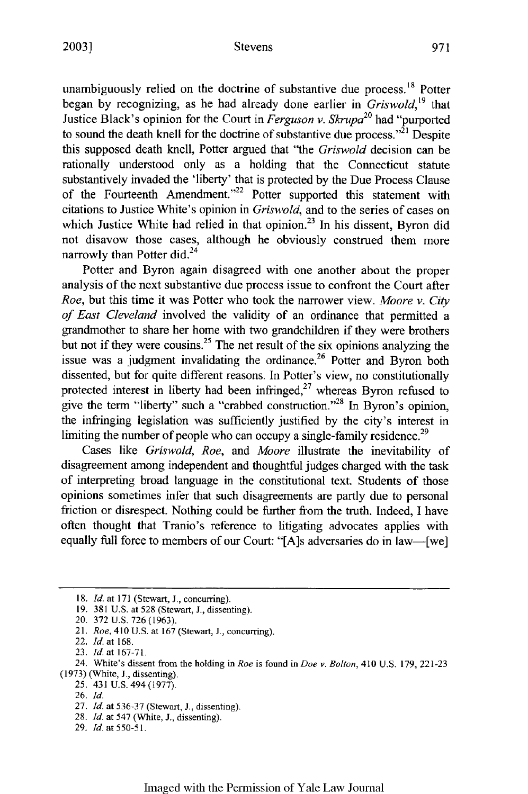#### Stevens

unambiguously relied on the doctrine of substantive due process.<sup>18</sup> Potter began by recognizing, as he had already done earlier in *Griswold,19* that Justice Black's opinion for the Court in *Ferguson v. Skrupa20* had "purported to sound the death knell for the doctrine of substantive due process. $^{221}$  Despite this supposed death knell, Potter argued that "the *Griswold* decision can be rationally understood only as a holding that the Connecticut statute substantively invaded the 'liberty' that is protected by the Due Process Clause of the Fourteenth Amendment."<sup>22</sup> Potter supported this statement with citations to Justice White's opinion in *Griswold,* and to the series of cases on which Justice White had relied in that opinion.<sup>23</sup> In his dissent, Byron did not disavow those cases, although he obviously construed them more narrowly than Potter did.<sup>24</sup>

Potter and Byron again disagreed with one another about the proper analysis of the next substantive due process issue to confront the Court after *Roe,* but this time it was Potter who took the narrower view. *Moore v. City of East Cleveland* involved the validity of an ordinance that permitted a grandmother to share her home with two grandchildren if they were brothers but not if they were cousins.<sup>25</sup> The net result of the six opinions analyzing the issue was a judgment invalidating the ordinance.<sup>26</sup> Potter and Byron both dissented, but for quite different reasons. In Potter's view, no constitutionally protected interest in liberty had been infringed, $2<sup>7</sup>$  whereas Byron refused to give the term "liberty" such a "crabbed construction."<sup>28</sup> In Byron's opinion. the infringing legislation was sufficiently justified by the city's interest in limiting the number of people who can occupy a single-family residence.<sup>29</sup>

Cases like *Griswold, Roe,* and *Moore* illustrate the inevitability of disagreement among independent and thoughtful judges charged with the task of interpreting broad language in the constitutional text. Students of those opinions sometimes infer that such disagreements are partly due to personal friction or disrespect. Nothing could be further from the truth. Indeed, I have often thought that Tranio's reference to litigating advocates applies with equally full force to members of our Court: "[A]s adversaries do in law—[we]

**<sup>18.</sup>** *Id.* at **171** (Stewart, **J.,** concurring).

<sup>19. 381</sup> U.S. at 528 (Stewart, J., dissenting).

<sup>20. 372</sup> U.S. 726 (1963).

<sup>21.</sup> *Roe,* **410 U.S.** at 167 (Stewart, J., concurring).

<sup>22.</sup> *Id.* at 168.

<sup>23.</sup> *Id.* at 167-71.

<sup>24.</sup> White's dissent from the holding in *Roe* is found in *Doe v. Bolton,* **410** U.S. 179, 221-23 (1973) (White, J., dissenting).

<sup>25. 431</sup> U.S. 494 (1977).

<sup>26.</sup> *Id.*

<sup>27.</sup> *Id.* at 536-37 (Stewart, J., dissenting).

<sup>28.</sup> *Id.* at 547 (White, J., dissenting).

<sup>29.</sup> *Id.* at 550-51.